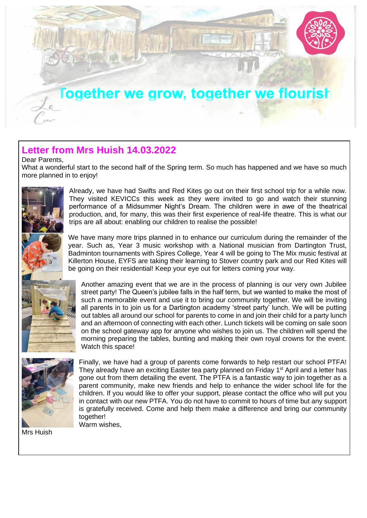

## **Letter from Mrs Huish 14.03.2022**

Dear Parents,

What a wonderful start to the second half of the Spring term. So much has happened and we have so much more planned in to enjoy!



Already, we have had Swifts and Red Kites go out on their first school trip for a while now. They visited KEVICCs this week as they were invited to go and watch their stunning performance of a Midsummer Night's Dream. The children were in awe of the theatrical production, and, for many, this was their first experience of real-life theatre. This is what our trips are all about: enabling our children to realise the possible!

We have many more trips planned in to enhance our curriculum during the remainder of the year. Such as, Year 3 music workshop with a National musician from Dartington Trust, Badminton tournaments with Spires College, Year 4 will be going to The Mix music festival at Killerton House, EYFS are taking their learning to Stover country park and our Red Kites will be going on their residential! Keep your eye out for letters coming your way.





Finally, we have had a group of parents come forwards to help restart our school PTFA! They already have an exciting Easter tea party planned on Friday 1<sup>st</sup> April and a letter has gone out from them detailing the event. The PTFA is a fantastic way to join together as a parent community, make new friends and help to enhance the wider school life for the children. If you would like to offer your support, please contact the office who will put you in contact with our new PTFA. You do not have to commit to hours of time but any support is gratefully received. Come and help them make a difference and bring our community together! Warm wishes,

Mrs Huish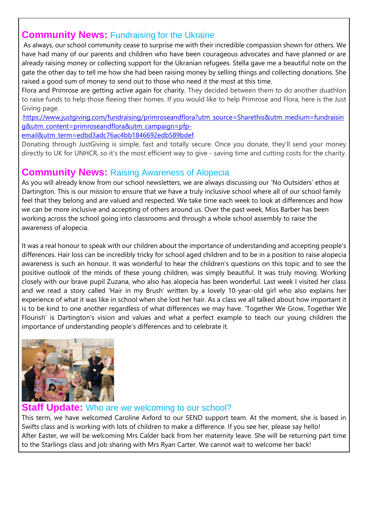## **Community News:** Fundraising for the Ukraine

As always, our school community cease to surprise me with their incredible compassion shown for others. We have had many of our parents and children who have been courageous advocates and have planned or are already raising money or collecting support for the Ukranian refugees. Stella gave me a beautiful note on the gate the other day to tell me how she had been raising money by selling things and collecting donations. She raised a good sum of money to send out to those who need it the most at this time.

Flora and Primrose are getting active again for charity. They decided between them to do another duathlon to raise funds to help those fleeing their homes. If you would like to help Primrose and Flora, here is the Just Giving page.

[:https://www.justgiving.com/fundraising/primroseandflora?utm\\_source=Sharethis&utm\\_medium=fundraisin](https://www.justgiving.com/fundraising/primroseandflora?utm_source=Sharethis&utm_medium=fundraising&utm_content=primroseandflora&utm_campaign=pfp-email&utm_term=edbd3adc76ac4bb1846692edb589bdef) [g&utm\\_content=primroseandflora&utm\\_campaign=pfp-](https://www.justgiving.com/fundraising/primroseandflora?utm_source=Sharethis&utm_medium=fundraising&utm_content=primroseandflora&utm_campaign=pfp-email&utm_term=edbd3adc76ac4bb1846692edb589bdef)

[email&utm\\_term=edbd3adc76ac4bb1846692edb589bdef.](https://www.justgiving.com/fundraising/primroseandflora?utm_source=Sharethis&utm_medium=fundraising&utm_content=primroseandflora&utm_campaign=pfp-email&utm_term=edbd3adc76ac4bb1846692edb589bdef)

Donating through JustGiving is simple, fast and totally secure. Once you donate, they'll send your money directly to UK for UNHCR, so it's the most efficient way to give - saving time and cutting costs for the charity.

## **Community News:** Raising Awareness of Alopecia

As you will already know from our school newsletters, we are always discussing our 'No Outsiders' ethos at Dartington. This is our mission to ensure that we have a truly inclusive school where all of our school family feel that they belong and are valued and respected. We take time each week to look at differences and how we can be more inclusive and accepting of others around us. Over the past week, Miss Barber has been working across the school going into classrooms and through a whole school assembly to raise the awareness of alopecia.

It was a real honour to speak with our children about the importance of understanding and accepting people's differences. Hair loss can be incredibly tricky for school aged children and to be in a position to raise alopecia awareness is such an honour. It was wonderful to hear the children's questions on this topic and to see the positive outlook of the minds of these young children, was simply beautiful. It was truly moving. Working closely with our brave pupil Zuzana, who also has alopecia has been wonderful. Last week I visited her class and we read a story called 'Hair in my Brush' written by a lovely 10-year-old girl who also explains her experience of what it was like in school when she lost her hair. As a class we all talked about how important it is to be kind to one another regardless of what differences we may have. 'Together We Grow, Together We Flourish' is Dartington's vision and values and what a perfect example to teach our young children the importance of understanding people's differences and to celebrate it.



#### **te:** Who are we welcoming to our school?

This term, we have welcomed Caroline Axford to our SEND support team. At the moment, she is based in Swifts class and is working with lots of children to make a difference. If you see her, please say hello! After Easter, we will be welcoming Mrs Calder back from her maternity leave. She will be returning part time to the Starlings class and job sharing with Mrs Ryan Carter. We cannot wait to welcome her back!